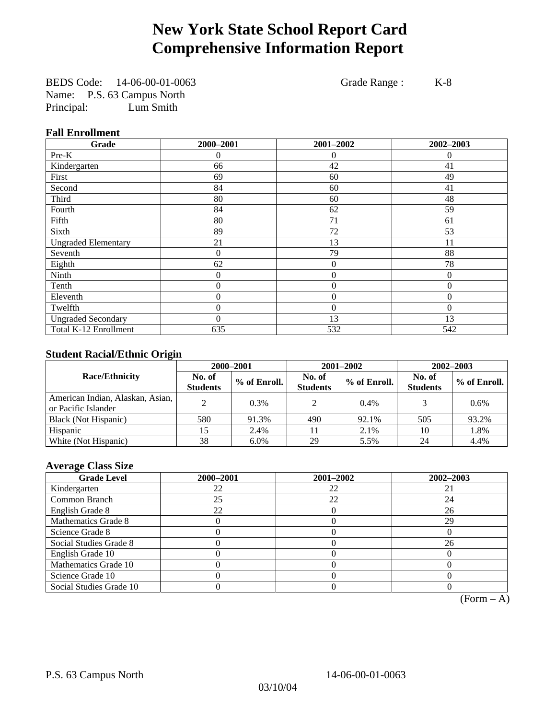## **New York State School Report Card Comprehensive Information Report**

BEDS Code: 14-06-00-01-0063 Grade Range : K-8 Name: P.S. 63 Campus North Principal: Lum Smith

### **Fall Enrollment**

| Grade                      | 2000-2001        | 2001-2002        | 2002-2003 |
|----------------------------|------------------|------------------|-----------|
| Pre-K                      | $\overline{0}$   | 0                | $\Omega$  |
| Kindergarten               | 66               | 42               | 41        |
| First                      | 69               | 60               | 49        |
| Second                     | 84               | 60               | 41        |
| Third                      | 80               | 60               | 48        |
| Fourth                     | 84               | 62               | 59        |
| Fifth                      | 80               | 71               | 61        |
| Sixth                      | 89               | 72               | 53        |
| <b>Ungraded Elementary</b> | 21               | 13               | 11        |
| Seventh                    | $\overline{0}$   | 79               | 88        |
| Eighth                     | 62               | $\theta$         | 78        |
| Ninth                      | $\theta$         | $\overline{0}$   | $\Omega$  |
| Tenth                      | 0                | $\boldsymbol{0}$ | $\theta$  |
| Eleventh                   | $\overline{0}$   | $\boldsymbol{0}$ | $\theta$  |
| Twelfth                    | 0                | $\overline{0}$   | $\Omega$  |
| <b>Ungraded Secondary</b>  | $\boldsymbol{0}$ | 13               | 13        |
| Total K-12 Enrollment      | 635              | 532              | 542       |

#### **Student Racial/Ethnic Origin**

|                                                         | 2000-2001                 |              |                           | 2001-2002    | 2002-2003                 |              |
|---------------------------------------------------------|---------------------------|--------------|---------------------------|--------------|---------------------------|--------------|
| <b>Race/Ethnicity</b>                                   | No. of<br><b>Students</b> | % of Enroll. | No. of<br><b>Students</b> | % of Enroll. | No. of<br><b>Students</b> | % of Enroll. |
| American Indian, Alaskan, Asian,<br>or Pacific Islander |                           | 0.3%         | $\mathcal{L}$             | 0.4%         |                           | $0.6\%$      |
| Black (Not Hispanic)                                    | 580                       | 91.3%        | 490                       | 92.1%        | 505                       | 93.2%        |
| Hispanic                                                |                           | 2.4%         |                           | 2.1%         | 10                        | 1.8%         |
| White (Not Hispanic)                                    | 38                        | 6.0%         | 29                        | 5.5%         | 24                        | 4.4%         |

### **Average Class Size**

| <b>Grade Level</b>      | 2000-2001 | 2001-2002 | 2002-2003 |
|-------------------------|-----------|-----------|-----------|
| Kindergarten            | 22        | 22        |           |
| Common Branch           | 25        | 22        | 24        |
| English Grade 8         | 22        |           | 26        |
| Mathematics Grade 8     |           |           | 29        |
| Science Grade 8         |           |           |           |
| Social Studies Grade 8  |           |           | 26        |
| English Grade 10        |           |           |           |
| Mathematics Grade 10    |           |           |           |
| Science Grade 10        |           |           |           |
| Social Studies Grade 10 |           |           |           |

 $(Form – A)$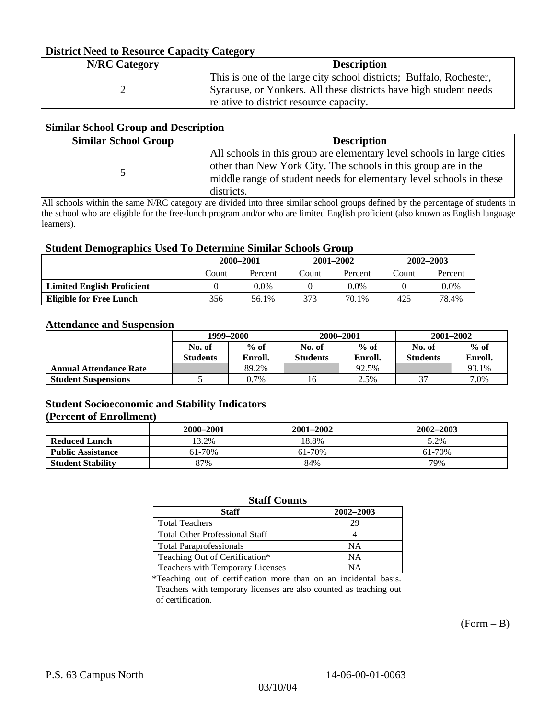### **District Need to Resource Capacity Category**

| <b>N/RC</b> Category | <b>Description</b>                                                                                                                                                                  |
|----------------------|-------------------------------------------------------------------------------------------------------------------------------------------------------------------------------------|
|                      | This is one of the large city school districts; Buffalo, Rochester,<br>Syracuse, or Yonkers. All these districts have high student needs<br>relative to district resource capacity. |

#### **Similar School Group and Description**

| <b>Similar School Group</b> | <b>Description</b>                                                                                                                                                                                                            |
|-----------------------------|-------------------------------------------------------------------------------------------------------------------------------------------------------------------------------------------------------------------------------|
|                             | All schools in this group are elementary level schools in large cities<br>other than New York City. The schools in this group are in the<br>middle range of student needs for elementary level schools in these<br>districts. |

All schools within the same N/RC category are divided into three similar school groups defined by the percentage of students in the school who are eligible for the free-lunch program and/or who are limited English proficient (also known as English language learners).

#### **Student Demographics Used To Determine Similar Schools Group**

| 0                                 | 2000-2001<br>Percent<br>Count |         | $2001 - 2002$ |         | 2002-2003 |         |
|-----------------------------------|-------------------------------|---------|---------------|---------|-----------|---------|
|                                   |                               |         | Count         | Percent | Count     | Percent |
| <b>Limited English Proficient</b> |                               | $0.0\%$ |               | $0.0\%$ |           | $0.0\%$ |
| Eligible for Free Lunch           | 356                           | 56.1%   | 373           | 70.1%   | 425       | 78.4%   |

#### **Attendance and Suspension**

|                               | 1999-2000                 |                   |                           | 2000-2001         | $2001 - 2002$             |                   |
|-------------------------------|---------------------------|-------------------|---------------------------|-------------------|---------------------------|-------------------|
|                               | No. of<br><b>Students</b> | $%$ of<br>Enroll. | No. of<br><b>Students</b> | $%$ of<br>Enroll. | No. of<br><b>Students</b> | $%$ of<br>Enroll. |
| <b>Annual Attendance Rate</b> |                           | 89.2%             |                           | 92.5%             |                           | 93.1%             |
| <b>Student Suspensions</b>    |                           | $0.7\%$           | 16                        | 2.5%              | $\sim$                    | 7.0%              |

### **Student Socioeconomic and Stability Indicators**

#### **(Percent of Enrollment)**

|                          | 2000–2001 | 2001-2002 | 2002–2003 |
|--------------------------|-----------|-----------|-----------|
| <b>Reduced Lunch</b>     | 13.2%     | 18.8%     | 5.2%      |
| <b>Public Assistance</b> | 61-70%    | 61-70%    | 61-70%    |
| <b>Student Stability</b> | 87%       | 84%       | 79%       |

#### **Staff Counts**

| Staff                                 | 2002-2003 |
|---------------------------------------|-----------|
| <b>Total Teachers</b>                 | 29        |
| <b>Total Other Professional Staff</b> |           |
| <b>Total Paraprofessionals</b>        | NΑ        |
| Teaching Out of Certification*        | NΑ        |
| Teachers with Temporary Licenses      | NА        |

\*Teaching out of certification more than on an incidental basis. Teachers with temporary licenses are also counted as teaching out of certification.

 $(Form - B)$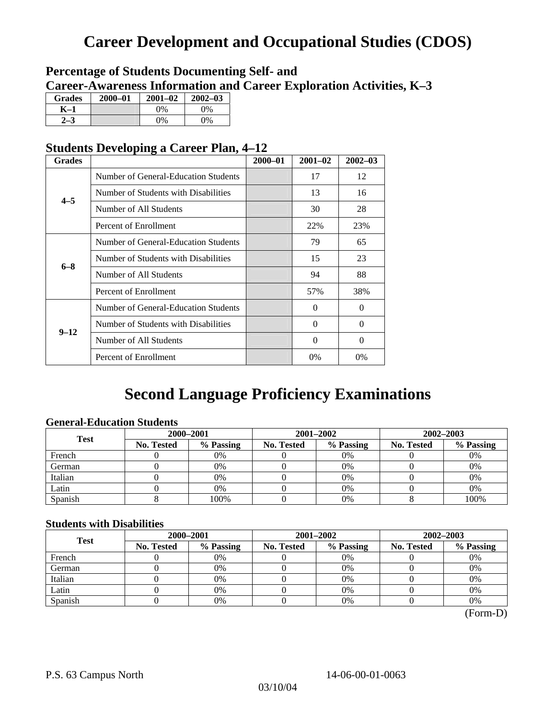# **Career Development and Occupational Studies (CDOS)**

## **Percentage of Students Documenting Self- and Career-Awareness Information and Career Exploration Activities, K–3**

| <b>Grades</b> | 2000-01 | $2001 - 02$ | $2002 - 03$ |
|---------------|---------|-------------|-------------|
| K-1           |         | $0\%$       | $0\%$       |
|               |         | $0\%$       | $0\%$       |

## **Students Developing a Career Plan, 4–12**

| <b>Grades</b> |                                      | $2000 - 01$ | $2001 - 02$ | $2002 - 03$ |
|---------------|--------------------------------------|-------------|-------------|-------------|
|               | Number of General-Education Students |             | 17          | 12          |
| $4 - 5$       | Number of Students with Disabilities |             | 13          | 16          |
|               | Number of All Students               |             | 30          | 28          |
|               | Percent of Enrollment                |             | 22%         | 23%         |
|               | Number of General-Education Students |             | 79          | 65          |
|               | Number of Students with Disabilities |             | 15          | 23          |
| $6 - 8$       | Number of All Students               |             | 94          | 88          |
|               | Percent of Enrollment                |             | 57%         | 38%         |
|               | Number of General-Education Students |             | $\Omega$    | $\Omega$    |
| $9 - 12$      | Number of Students with Disabilities |             | 0           | $\Omega$    |
|               | Number of All Students               |             | $\theta$    | $\Omega$    |
|               | Percent of Enrollment                |             | $0\%$       | 0%          |

## **Second Language Proficiency Examinations**

### **General-Education Students**

| <b>Test</b> | 2000-2001         |           |            | 2001-2002 | 2002-2003         |           |
|-------------|-------------------|-----------|------------|-----------|-------------------|-----------|
|             | <b>No. Tested</b> | % Passing | No. Tested | % Passing | <b>No. Tested</b> | % Passing |
| French      |                   | 0%        |            | $0\%$     |                   | 0%        |
| German      |                   | 0%        |            | 0%        |                   | 0%        |
| Italian     |                   | 0%        |            | 0%        |                   | 0%        |
| Latin       |                   | 0%        |            | 0%        |                   | 0%        |
| Spanish     |                   | 100%      |            | 0%        |                   | 100%      |

#### **Students with Disabilities**

| <b>Test</b> | 2000-2001         |           |            | 2001-2002 | 2002-2003         |           |  |
|-------------|-------------------|-----------|------------|-----------|-------------------|-----------|--|
|             | <b>No. Tested</b> | % Passing | No. Tested | % Passing | <b>No. Tested</b> | % Passing |  |
| French      |                   | 0%        |            | $0\%$     |                   | 0%        |  |
| German      |                   | 0%        |            | 0%        |                   | 0%        |  |
| Italian     |                   | 0%        |            | 0%        |                   | 0%        |  |
| Latin       |                   | 0%        |            | $0\%$     |                   | 0%        |  |
| Spanish     |                   | 0%        |            | 0%        |                   | 0%        |  |

 <sup>(</sup>Form-D)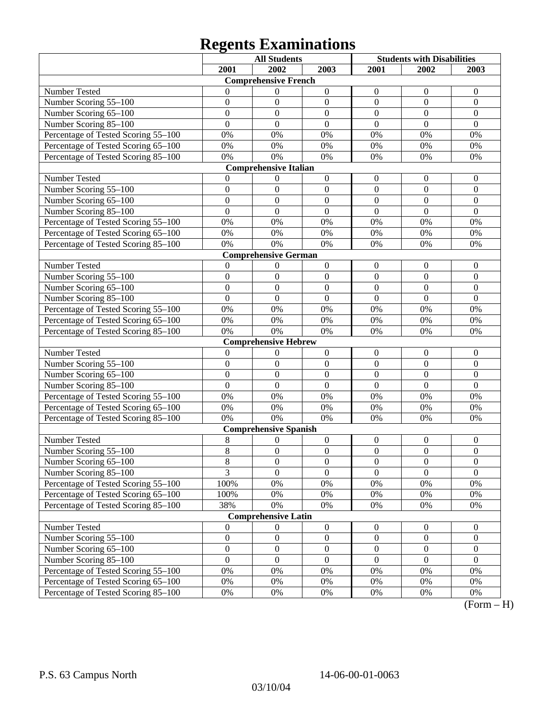# **Regents Examinations**

|                                     | <b>All Students</b> |                              | <b>Students with Disabilities</b> |                  |                  |                  |  |  |
|-------------------------------------|---------------------|------------------------------|-----------------------------------|------------------|------------------|------------------|--|--|
|                                     | 2001                | 2002                         | 2003                              | 2001             | 2002             | 2003             |  |  |
| <b>Comprehensive French</b>         |                     |                              |                                   |                  |                  |                  |  |  |
| Number Tested                       | $\theta$            | 0                            | $\boldsymbol{0}$                  | $\boldsymbol{0}$ | $\boldsymbol{0}$ | $\boldsymbol{0}$ |  |  |
| Number Scoring 55-100               | $\mathbf{0}$        | $\boldsymbol{0}$             | $\mathbf{0}$                      | $\mathbf{0}$     | $\mathbf{0}$     | $\mathbf{0}$     |  |  |
| Number Scoring 65-100               | $\mathbf{0}$        | $\mathbf{0}$                 | $\boldsymbol{0}$                  | $\mathbf{0}$     | $\mathbf{0}$     | $\mathbf{0}$     |  |  |
| Number Scoring 85-100               | $\mathbf{0}$        | $\boldsymbol{0}$             | $\mathbf{0}$                      | $\mathbf{0}$     | $\mathbf{0}$     | $\mathbf{0}$     |  |  |
| Percentage of Tested Scoring 55-100 | 0%                  | 0%                           | 0%                                | 0%               | 0%               | 0%               |  |  |
| Percentage of Tested Scoring 65-100 | 0%                  | 0%                           | 0%                                | 0%               | 0%               | 0%               |  |  |
| Percentage of Tested Scoring 85-100 | 0%                  | 0%                           | 0%                                | 0%               | 0%               | 0%               |  |  |
|                                     |                     | <b>Comprehensive Italian</b> |                                   |                  |                  |                  |  |  |
| Number Tested                       | 0                   | 0                            | $\boldsymbol{0}$                  | $\boldsymbol{0}$ | $\boldsymbol{0}$ | $\boldsymbol{0}$ |  |  |
| Number Scoring 55-100               | $\boldsymbol{0}$    | $\mathbf{0}$                 | $\boldsymbol{0}$                  | $\mathbf{0}$     | $\mathbf{0}$     | $\mathbf{0}$     |  |  |
| Number Scoring 65-100               | $\mathbf{0}$        | $\overline{0}$               | $\mathbf{0}$                      | $\overline{0}$   | $\mathbf{0}$     | $\mathbf{0}$     |  |  |
| Number Scoring 85-100               | $\mathbf{0}$        | $\overline{0}$               | $\mathbf{0}$                      | $\overline{0}$   | $\mathbf{0}$     | $\mathbf{0}$     |  |  |
| Percentage of Tested Scoring 55-100 | 0%                  | 0%                           | 0%                                | 0%               | 0%               | 0%               |  |  |
| Percentage of Tested Scoring 65-100 | 0%                  | 0%                           | 0%                                | 0%               | 0%               | 0%               |  |  |
| Percentage of Tested Scoring 85-100 | 0%                  | 0%                           | 0%                                | 0%               | 0%               | 0%               |  |  |
|                                     |                     | <b>Comprehensive German</b>  |                                   |                  |                  |                  |  |  |
| Number Tested                       | $\theta$            | 0                            | $\boldsymbol{0}$                  | $\boldsymbol{0}$ | $\boldsymbol{0}$ | $\boldsymbol{0}$ |  |  |
| Number Scoring 55-100               | $\mathbf{0}$        | $\mathbf{0}$                 | $\boldsymbol{0}$                  | $\mathbf{0}$     | $\mathbf{0}$     | $\mathbf{0}$     |  |  |
| Number Scoring 65-100               | $\mathbf{0}$        | $\mathbf{0}$                 | $\mathbf{0}$                      | $\mathbf{0}$     | $\mathbf{0}$     | $\mathbf{0}$     |  |  |
| Number Scoring 85-100               | $\mathbf{0}$        | $\boldsymbol{0}$             | $\overline{0}$                    | $\mathbf{0}$     | $\mathbf{0}$     | $\mathbf{0}$     |  |  |
| Percentage of Tested Scoring 55-100 | 0%                  | 0%                           | 0%                                | 0%               | 0%               | 0%               |  |  |
| Percentage of Tested Scoring 65-100 | 0%                  | 0%                           | 0%                                | 0%               | 0%               | 0%               |  |  |
| Percentage of Tested Scoring 85-100 | 0%                  | 0%                           | 0%                                | 0%               | 0%               | 0%               |  |  |
|                                     |                     | <b>Comprehensive Hebrew</b>  |                                   |                  |                  |                  |  |  |
| Number Tested                       | $\theta$            | $\boldsymbol{0}$             | $\boldsymbol{0}$                  | $\boldsymbol{0}$ | $\boldsymbol{0}$ | $\boldsymbol{0}$ |  |  |
| Number Scoring 55-100               | $\mathbf{0}$        | $\mathbf{0}$                 | $\mathbf{0}$                      | $\mathbf{0}$     | $\mathbf{0}$     | $\mathbf{0}$     |  |  |
| Number Scoring 65-100               | $\mathbf{0}$        | $\mathbf{0}$                 | $\mathbf{0}$                      | $\overline{0}$   | $\mathbf{0}$     | $\mathbf{0}$     |  |  |
| Number Scoring 85-100               | $\mathbf{0}$        | $\mathbf{0}$                 | $\mathbf{0}$                      | $\mathbf{0}$     | $\mathbf{0}$     | $\mathbf{0}$     |  |  |
| Percentage of Tested Scoring 55-100 | 0%                  | 0%                           | 0%                                | 0%               | $0\%$            | 0%               |  |  |
| Percentage of Tested Scoring 65-100 | 0%                  | 0%                           | 0%                                | 0%               | 0%               | 0%               |  |  |
| Percentage of Tested Scoring 85-100 | 0%                  | 0%                           | 0%                                | 0%               | 0%               | 0%               |  |  |
|                                     |                     | <b>Comprehensive Spanish</b> |                                   |                  |                  |                  |  |  |
| Number Tested                       | 8                   | $\theta$                     | $\boldsymbol{0}$                  | $\boldsymbol{0}$ | $\boldsymbol{0}$ | $\boldsymbol{0}$ |  |  |
| Number Scoring 55-100               | 8                   | $\boldsymbol{0}$             | $\boldsymbol{0}$                  | $\boldsymbol{0}$ | $\boldsymbol{0}$ | $\boldsymbol{0}$ |  |  |
| Number Scoring 65-100               | 8                   | $\overline{0}$               | $\overline{0}$                    | $\boldsymbol{0}$ | $\boldsymbol{0}$ | $\boldsymbol{0}$ |  |  |
| Number Scoring 85-100               | $\overline{3}$      | $\overline{0}$               | $\mathbf{0}$                      | $\overline{0}$   | $\mathbf{0}$     | $\mathbf{0}$     |  |  |
| Percentage of Tested Scoring 55-100 | 100%                | $0\%$                        | $0\%$                             | $0\%$            | $0\%$            | $0\%$            |  |  |
| Percentage of Tested Scoring 65-100 | 100%                | $0\%$                        | $0\%$                             | $0\%$            | $0\%$            | $0\%$            |  |  |
| Percentage of Tested Scoring 85-100 | 38%                 | $0\%$                        | $0\%$                             | $0\%$            | $0\%$            | $0\%$            |  |  |
| <b>Comprehensive Latin</b>          |                     |                              |                                   |                  |                  |                  |  |  |
| Number Tested                       | $\boldsymbol{0}$    | $\theta$                     | $\boldsymbol{0}$                  | $\boldsymbol{0}$ | $\boldsymbol{0}$ | $\boldsymbol{0}$ |  |  |
| Number Scoring 55-100               | $\boldsymbol{0}$    | $\boldsymbol{0}$             | $\boldsymbol{0}$                  | $\boldsymbol{0}$ | $\boldsymbol{0}$ | $\boldsymbol{0}$ |  |  |
| Number Scoring 65-100               | $\boldsymbol{0}$    | $\boldsymbol{0}$             | $\boldsymbol{0}$                  | $\boldsymbol{0}$ | $\boldsymbol{0}$ | $\boldsymbol{0}$ |  |  |
| Number Scoring 85-100               | $\overline{0}$      | $\boldsymbol{0}$             | $\mathbf{0}$                      | $\boldsymbol{0}$ | $\mathbf{0}$     | $\mathbf{0}$     |  |  |
| Percentage of Tested Scoring 55-100 | $0\%$               | $0\%$                        | $0\%$                             | $0\%$            | $0\%$            | $0\%$            |  |  |
| Percentage of Tested Scoring 65-100 | $0\%$               | $0\%$                        | $0\%$                             | $0\%$            | $0\%$            | $0\%$            |  |  |
| Percentage of Tested Scoring 85-100 | $0\%$               | $0\%$                        | $0\%$                             | $0\%$            | 0%               | 0%               |  |  |

 $\overline{(Form - H)}$